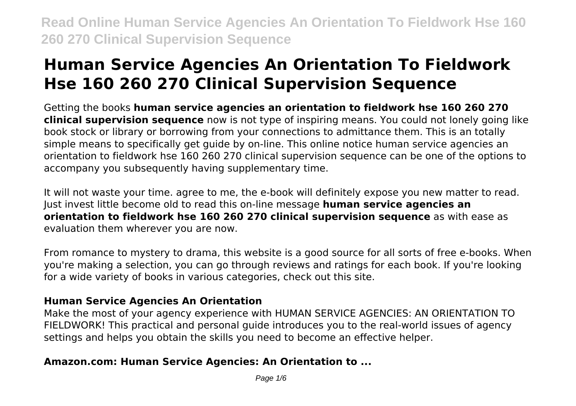# **Human Service Agencies An Orientation To Fieldwork Hse 160 260 270 Clinical Supervision Sequence**

Getting the books **human service agencies an orientation to fieldwork hse 160 260 270 clinical supervision sequence** now is not type of inspiring means. You could not lonely going like book stock or library or borrowing from your connections to admittance them. This is an totally simple means to specifically get guide by on-line. This online notice human service agencies an orientation to fieldwork hse 160 260 270 clinical supervision sequence can be one of the options to accompany you subsequently having supplementary time.

It will not waste your time. agree to me, the e-book will definitely expose you new matter to read. Just invest little become old to read this on-line message **human service agencies an orientation to fieldwork hse 160 260 270 clinical supervision sequence** as with ease as evaluation them wherever you are now.

From romance to mystery to drama, this website is a good source for all sorts of free e-books. When you're making a selection, you can go through reviews and ratings for each book. If you're looking for a wide variety of books in various categories, check out this site.

## **Human Service Agencies An Orientation**

Make the most of your agency experience with HUMAN SERVICE AGENCIES: AN ORIENTATION TO FIELDWORK! This practical and personal guide introduces you to the real-world issues of agency settings and helps you obtain the skills you need to become an effective helper.

## **Amazon.com: Human Service Agencies: An Orientation to ...**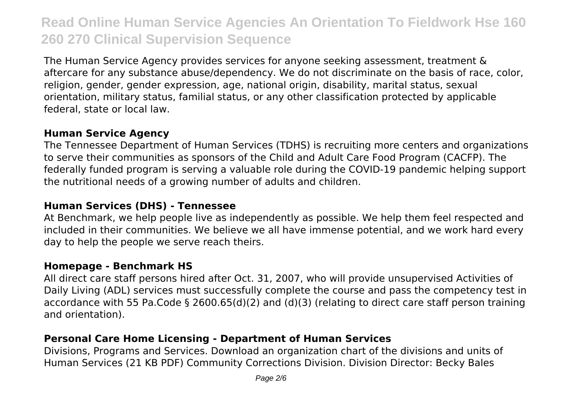The Human Service Agency provides services for anyone seeking assessment, treatment & aftercare for any substance abuse/dependency. We do not discriminate on the basis of race, color, religion, gender, gender expression, age, national origin, disability, marital status, sexual orientation, military status, familial status, or any other classification protected by applicable federal, state or local law.

#### **Human Service Agency**

The Tennessee Department of Human Services (TDHS) is recruiting more centers and organizations to serve their communities as sponsors of the Child and Adult Care Food Program (CACFP). The federally funded program is serving a valuable role during the COVID-19 pandemic helping support the nutritional needs of a growing number of adults and children.

#### **Human Services (DHS) - Tennessee**

At Benchmark, we help people live as independently as possible. We help them feel respected and included in their communities. We believe we all have immense potential, and we work hard every day to help the people we serve reach theirs.

#### **Homepage - Benchmark HS**

All direct care staff persons hired after Oct. 31, 2007, who will provide unsupervised Activities of Daily Living (ADL) services must successfully complete the course and pass the competency test in accordance with 55 Pa.Code § 2600.65(d)(2) and (d)(3) (relating to direct care staff person training and orientation).

## **Personal Care Home Licensing - Department of Human Services**

Divisions, Programs and Services. Download an organization chart of the divisions and units of Human Services (21 KB PDF) Community Corrections Division. Division Director: Becky Bales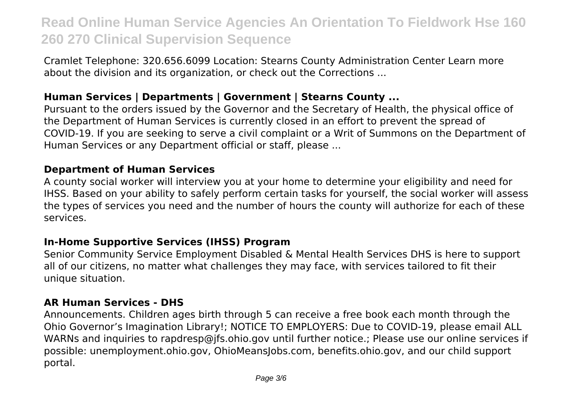Cramlet Telephone: 320.656.6099 Location: Stearns County Administration Center Learn more about the division and its organization, or check out the Corrections ...

#### **Human Services | Departments | Government | Stearns County ...**

Pursuant to the orders issued by the Governor and the Secretary of Health, the physical office of the Department of Human Services is currently closed in an effort to prevent the spread of COVID-19. If you are seeking to serve a civil complaint or a Writ of Summons on the Department of Human Services or any Department official or staff, please ...

#### **Department of Human Services**

A county social worker will interview you at your home to determine your eligibility and need for IHSS. Based on your ability to safely perform certain tasks for yourself, the social worker will assess the types of services you need and the number of hours the county will authorize for each of these services.

#### **In-Home Supportive Services (IHSS) Program**

Senior Community Service Employment Disabled & Mental Health Services DHS is here to support all of our citizens, no matter what challenges they may face, with services tailored to fit their unique situation.

#### **AR Human Services - DHS**

Announcements. Children ages birth through 5 can receive a free book each month through the Ohio Governor's Imagination Library!; NOTICE TO EMPLOYERS: Due to COVID-19, please email ALL WARNs and inquiries to rapdresp@jfs.ohio.gov until further notice.; Please use our online services if possible: unemployment.ohio.gov, OhioMeansJobs.com, benefits.ohio.gov, and our child support portal.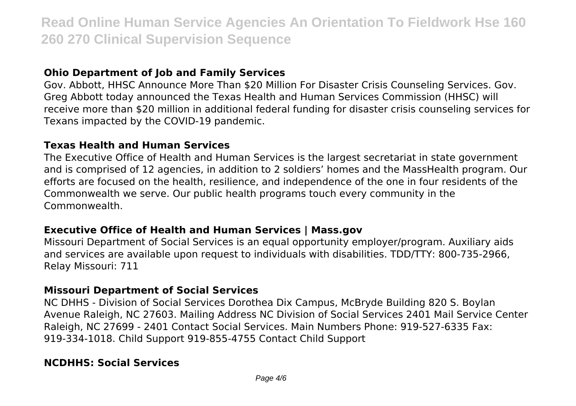### **Ohio Department of Job and Family Services**

Gov. Abbott, HHSC Announce More Than \$20 Million For Disaster Crisis Counseling Services. Gov. Greg Abbott today announced the Texas Health and Human Services Commission (HHSC) will receive more than \$20 million in additional federal funding for disaster crisis counseling services for Texans impacted by the COVID-19 pandemic.

#### **Texas Health and Human Services**

The Executive Office of Health and Human Services is the largest secretariat in state government and is comprised of 12 agencies, in addition to 2 soldiers' homes and the MassHealth program. Our efforts are focused on the health, resilience, and independence of the one in four residents of the Commonwealth we serve. Our public health programs touch every community in the Commonwealth.

#### **Executive Office of Health and Human Services | Mass.gov**

Missouri Department of Social Services is an equal opportunity employer/program. Auxiliary aids and services are available upon request to individuals with disabilities. TDD/TTY: 800-735-2966, Relay Missouri: 711

#### **Missouri Department of Social Services**

NC DHHS - Division of Social Services Dorothea Dix Campus, McBryde Building 820 S. Boylan Avenue Raleigh, NC 27603. Mailing Address NC Division of Social Services 2401 Mail Service Center Raleigh, NC 27699 - 2401 Contact Social Services. Main Numbers Phone: 919-527-6335 Fax: 919-334-1018. Child Support 919-855-4755 Contact Child Support

#### **NCDHHS: Social Services**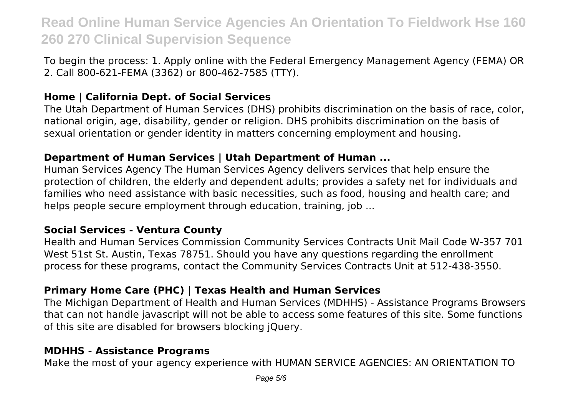To begin the process: 1. Apply online with the Federal Emergency Management Agency (FEMA) OR 2. Call 800-621-FEMA (3362) or 800-462-7585 (TTY).

### **Home | California Dept. of Social Services**

The Utah Department of Human Services (DHS) prohibits discrimination on the basis of race, color, national origin, age, disability, gender or religion. DHS prohibits discrimination on the basis of sexual orientation or gender identity in matters concerning employment and housing.

#### **Department of Human Services | Utah Department of Human ...**

Human Services Agency The Human Services Agency delivers services that help ensure the protection of children, the elderly and dependent adults; provides a safety net for individuals and families who need assistance with basic necessities, such as food, housing and health care; and helps people secure employment through education, training, job ...

#### **Social Services - Ventura County**

Health and Human Services Commission Community Services Contracts Unit Mail Code W-357 701 West 51st St. Austin, Texas 78751. Should you have any questions regarding the enrollment process for these programs, contact the Community Services Contracts Unit at 512-438-3550.

## **Primary Home Care (PHC) | Texas Health and Human Services**

The Michigan Department of Health and Human Services (MDHHS) - Assistance Programs Browsers that can not handle javascript will not be able to access some features of this site. Some functions of this site are disabled for browsers blocking jQuery.

#### **MDHHS - Assistance Programs**

Make the most of your agency experience with HUMAN SERVICE AGENCIES: AN ORIENTATION TO